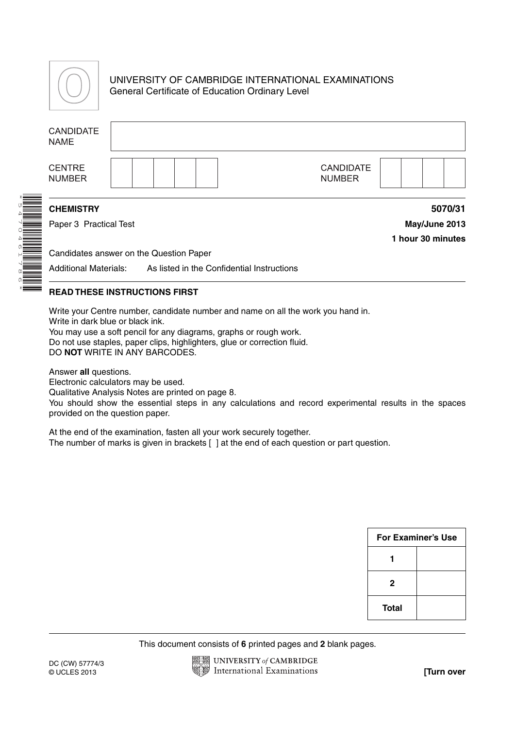

# UNIVERSITY OF CAMBRIDGE INTERNATIONAL EXAMINATIONS General Certificate of Education Ordinary Level

| <b>CANDIDATE</b><br><b>NAME</b> |                                            |                                                                                                   |
|---------------------------------|--------------------------------------------|---------------------------------------------------------------------------------------------------|
| <b>CENTRE</b><br><b>NUMBER</b>  | <b>CANDIDATE</b><br><b>NUMBER</b>          |                                                                                                   |
|                                 |                                            |                                                                                                   |
|                                 |                                            | 5070/31                                                                                           |
|                                 |                                            | May/June 2013                                                                                     |
|                                 |                                            | 1 hour 30 minutes                                                                                 |
|                                 |                                            |                                                                                                   |
|                                 | As listed in the Confidential Instructions |                                                                                                   |
|                                 | <b>CHEMISTRY</b>                           | Paper 3 Practical Test<br>Candidates answer on the Question Paper<br><b>Additional Materials:</b> |

# **READ THESE INSTRUCTIONS FIRST**

Write your Centre number, candidate number and name on all the work you hand in.

Write in dark blue or black ink.

You may use a soft pencil for any diagrams, graphs or rough work.

Do not use staples, paper clips, highlighters, glue or correction fluid.

DO **NOT** WRITE IN ANY BARCODES.

Answer **all** questions.

Electronic calculators may be used.

Qualitative Analysis Notes are printed on page 8.

You should show the essential steps in any calculations and record experimental results in the spaces provided on the question paper.

At the end of the examination, fasten all your work securely together.

The number of marks is given in brackets [ ] at the end of each question or part question.

| <b>For Examiner's Use</b> |  |
|---------------------------|--|
|                           |  |
| 2                         |  |
| Total                     |  |

This document consists of **6** printed pages and **2** blank pages.

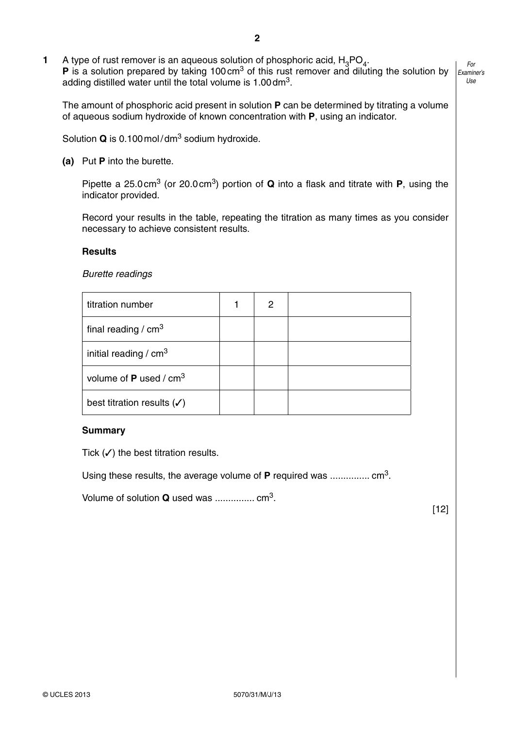*For Examiner's Use* **1** A type of rust remover is an aqueous solution of phosphoric acid,  $H_3PO_4$ . **P** is a solution prepared by taking 100 cm<sup>3</sup> of this rust remover and diluting the solution by adding distilled water until the total volume is 1.00 dm3.

The amount of phosphoric acid present in solution **P** can be determined by titrating a volume of aqueous sodium hydroxide of known concentration with **P**, using an indicator.

Solution **Q** is 0.100 mol / dm3 sodium hydroxide.

 **(a)** Put **P** into the burette.

Pipette a 25.0 cm3 (or 20.0 cm3) portion of **Q** into a flask and titrate with **P**, using the indicator provided.

Record your results in the table, repeating the titration as many times as you consider necessary to achieve consistent results.

#### **Results**

*Burette readings*

| titration number                      | 2 |  |
|---------------------------------------|---|--|
| final reading / $cm3$                 |   |  |
| initial reading / $cm3$               |   |  |
| volume of <b>P</b> used / $cm3$       |   |  |
| best titration results $(\checkmark)$ |   |  |

#### **Summary**

Tick  $(V)$  the best titration results.

Using these results, the average volume of **P** required was ............... cm3.

Volume of solution **Q** used was ............... cm3.

[12]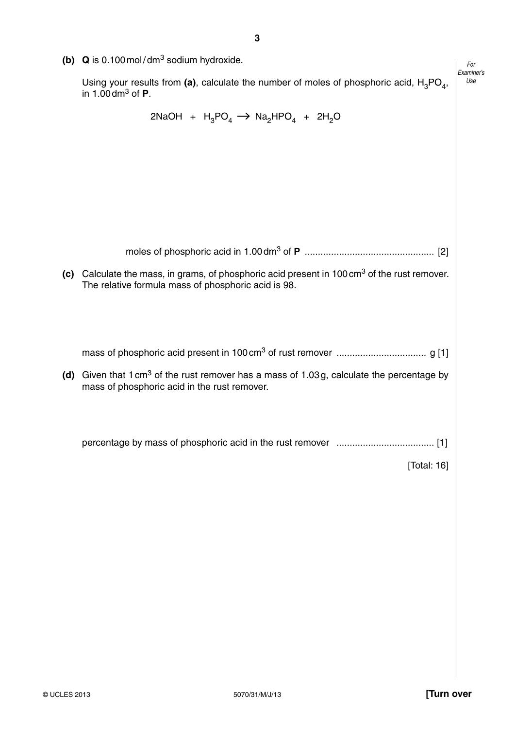Using your results from (a), calculate the number of moles of phosphoric acid,  $H_3PO_{4}$ , in 1.00 dm3 of **P**.  $2NaOH + H_3PO_4 \rightarrow Na_2HPO_4 + 2H_2O$  moles of phosphoric acid in 1.00 dm3 of **P** ................................................. [2] (c) Calculate the mass, in grams, of phosphoric acid present in 100 cm<sup>3</sup> of the rust remover. The relative formula mass of phosphoric acid is 98. mass of phosphoric acid present in 100 cm3 of rust remover .................................. g [1] **(d)** Given that 1 cm<sup>3</sup> of the rust remover has a mass of 1.03g, calculate the percentage by mass of phosphoric acid in the rust remover. percentage by mass of phosphoric acid in the rust remover ..................................... [1]

[Total: 16]

*For Examiner's Use*

 **(b) Q** is 0.100 mol / dm3 sodium hydroxide.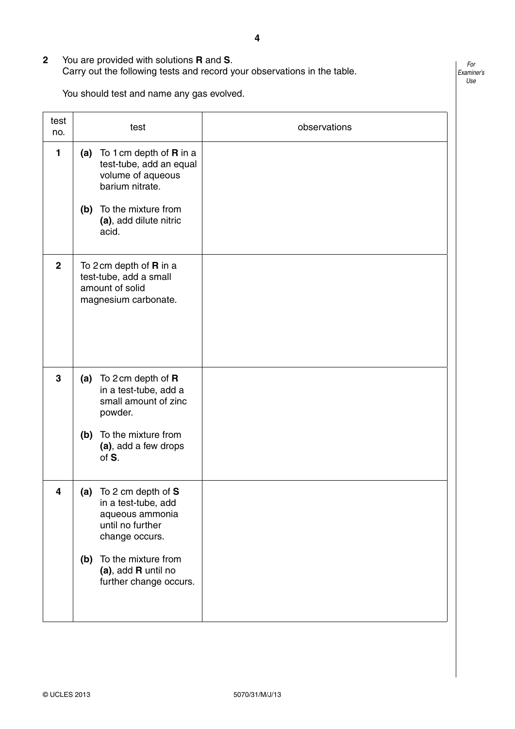# **2** You are provided with solutions **R** and **S**. Carry out the following tests and record your observations in the table.

You should test and name any gas evolved.

| test<br>no.                                                                                                                      | test                                                                                                                                                                                     | observations |
|----------------------------------------------------------------------------------------------------------------------------------|------------------------------------------------------------------------------------------------------------------------------------------------------------------------------------------|--------------|
| $\mathbf{1}$                                                                                                                     | (a) To 1 cm depth of <b>R</b> in a<br>test-tube, add an equal<br>volume of aqueous<br>barium nitrate.<br>(b) To the mixture from<br>(a), add dilute nitric<br>acid.                      |              |
| $\mathbf{2}$<br>To $2 \text{cm}$ depth of $\textbf{R}$ in a<br>test-tube, add a small<br>amount of solid<br>magnesium carbonate. |                                                                                                                                                                                          |              |
| $\mathbf{3}$                                                                                                                     | (a) To 2 cm depth of $R$<br>in a test-tube, add a<br>small amount of zinc<br>powder.<br>To the mixture from<br>(b)<br>(a), add a few drops<br>of S.                                      |              |
| 4                                                                                                                                | To 2 cm depth of S<br>(a)<br>in a test-tube, add<br>aqueous ammonia<br>until no further<br>change occurs.<br>To the mixture from<br>(b)<br>(a), add R until no<br>further change occurs. |              |

*For Examiner's Use*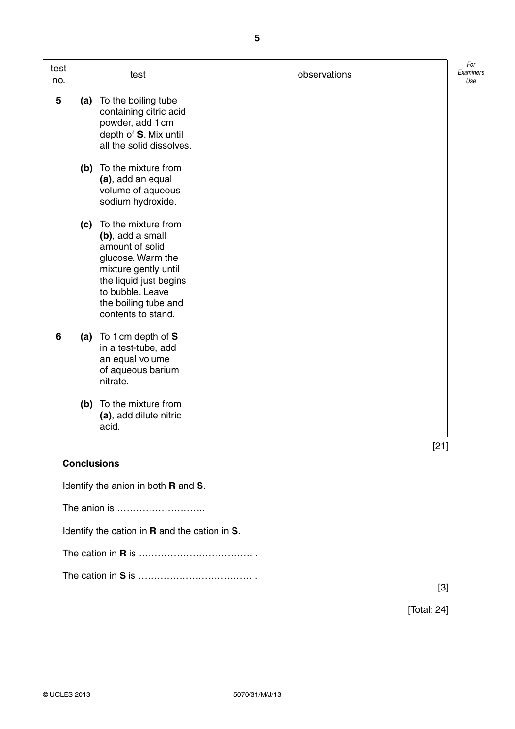| test<br>no. |     | test                                                                                                                                                                                                | observations | For<br>Examiner's<br>Use |
|-------------|-----|-----------------------------------------------------------------------------------------------------------------------------------------------------------------------------------------------------|--------------|--------------------------|
| 5           |     | (a) To the boiling tube<br>containing citric acid<br>powder, add 1 cm<br>depth of S. Mix until<br>all the solid dissolves.                                                                          |              |                          |
|             |     | (b) To the mixture from<br>(a), add an equal<br>volume of aqueous<br>sodium hydroxide.                                                                                                              |              |                          |
|             | (c) | To the mixture from<br>(b), add a small<br>amount of solid<br>glucose. Warm the<br>mixture gently until<br>the liquid just begins<br>to bubble. Leave<br>the boiling tube and<br>contents to stand. |              |                          |
| 6           |     | (a) To 1 cm depth of S<br>in a test-tube, add<br>an equal volume<br>of aqueous barium<br>nitrate.                                                                                                   |              |                          |
|             |     | (b) To the mixture from<br>(a), add dilute nitric<br>acid.                                                                                                                                          |              |                          |

### **Conclusions**

Identify the anion in both **R** and **S**.

The anion is ……………………….

Identify the cation in **R** and the cation in **S**.

The cation in **R** is ……………………………… .

The cation in **S** is ……………………………… .

[3]

[Total: 24]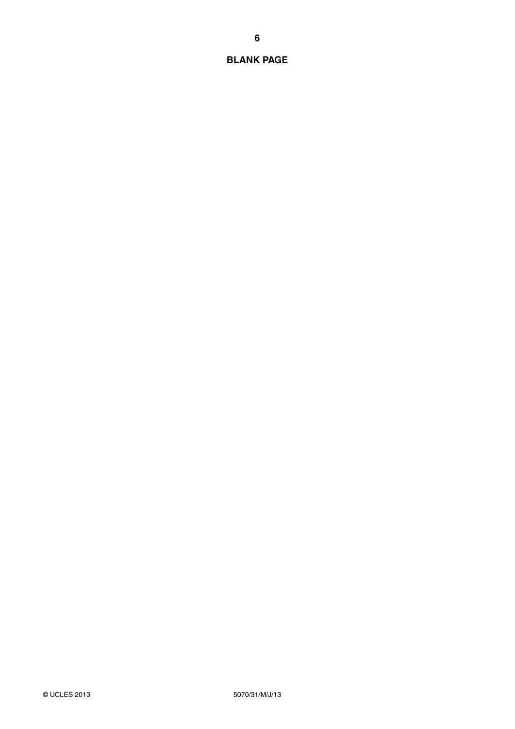## **BLANK PAGE**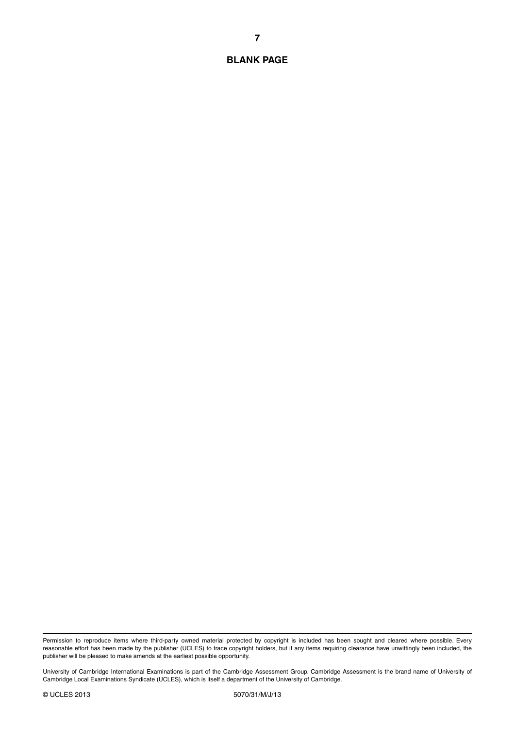#### **BLANK PAGE**

Permission to reproduce items where third-party owned material protected by copyright is included has been sought and cleared where possible. Every reasonable effort has been made by the publisher (UCLES) to trace copyright holders, but if any items requiring clearance have unwittingly been included, the publisher will be pleased to make amends at the earliest possible opportunity.

University of Cambridge International Examinations is part of the Cambridge Assessment Group. Cambridge Assessment is the brand name of University of Cambridge Local Examinations Syndicate (UCLES), which is itself a department of the University of Cambridge.